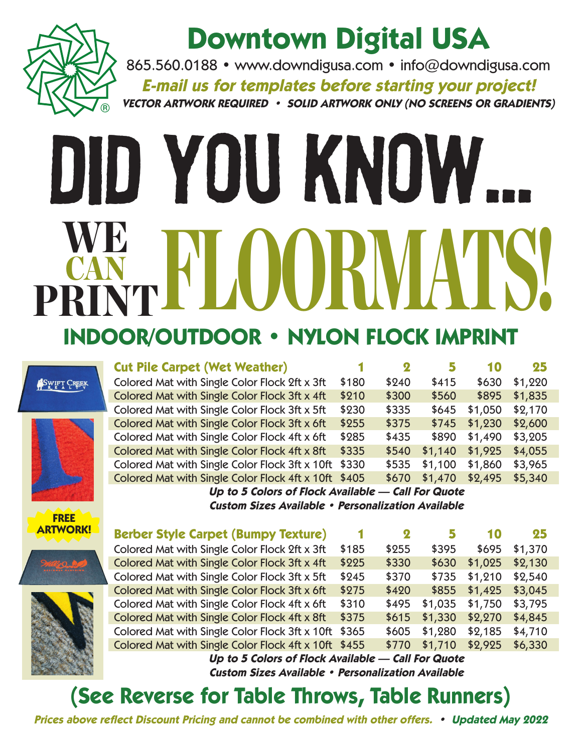

### **Downtown Digital USA**

865.560.0188 • www.downdigusa.com • info@downdigusa.com **E-mail us for templates before starting your project! VECTOR ARTWORK REQUIRED • SOLID ARTWORK ONLY (NO SCREENS OR GRADIENTS)**

# Did You Know... KANT PLOORWATS! CAN PRINT **INDOOR/OUTDOOR • NYLON FLOCK IMPRINT**

|                 | <b>Cut Pile Carpet (Wet Weather)</b>                      |       | $\boldsymbol{2}$ | 5       | 10      | 25      |  |
|-----------------|-----------------------------------------------------------|-------|------------------|---------|---------|---------|--|
| SWIFT CREEK     | Colored Mat with Single Color Flock 2ft x 3ft             | \$180 | \$240            | \$415   | \$630   | \$1,220 |  |
|                 | Colored Mat with Single Color Flock 3ft x 4ft             | \$210 | \$300            | \$560   | \$895   | \$1,835 |  |
|                 | Colored Mat with Single Color Flock 3ft x 5ft             | \$230 | \$335            | \$645   | \$1,050 | \$2,170 |  |
|                 | Colored Mat with Single Color Flock 3ft x 6ft             | \$255 | \$375            | \$745   | \$1,230 | \$2,600 |  |
|                 | Colored Mat with Single Color Flock 4ft x 6ft             | \$285 | \$435            | \$890   | \$1,490 | \$3,205 |  |
|                 | Colored Mat with Single Color Flock 4ft x 8ft             | \$335 | \$540            | \$1,140 | \$1,925 | \$4,055 |  |
|                 | Colored Mat with Single Color Flock 3ft x 10ft            | \$330 | \$535            | \$1,100 | \$1,860 | \$3,965 |  |
|                 | Colored Mat with Single Color Flock 4ft x 10ft \$405      |       | \$670            | \$1,470 | \$2,495 | \$5,340 |  |
|                 | Up to 5 Colors of Flock Available - Call For Quote        |       |                  |         |         |         |  |
|                 | <b>Custom Sizes Available • Personalization Available</b> |       |                  |         |         |         |  |
| <b>FREE</b>     |                                                           |       |                  |         |         |         |  |
|                 |                                                           |       |                  |         |         |         |  |
| <b>ARTWORK!</b> | <b>Berber Style Carpet (Bumpy Texture)</b>                |       | $\boldsymbol{2}$ |         | 10      | 25      |  |
|                 | Colored Mat with Single Color Flock 2ft x 3ft             | \$185 | \$255            | \$395   | \$695   | \$1,370 |  |
|                 | Colored Mat with Single Color Flock 3ft x 4ft             | \$225 | \$330            | \$630   | \$1,025 | \$2,130 |  |
|                 | Colored Mat with Single Color Flock 3ft x 5ft             | \$245 | \$370            | \$735   | \$1,210 | \$2,540 |  |
|                 | Colored Mat with Single Color Flock 3ft x 6ft             | \$275 | \$420            | \$855   | \$1,425 | \$3,045 |  |
|                 | Colored Mat with Single Color Flock 4ft x 6ft             | \$310 | \$495            | \$1,035 | \$1,750 | \$3,795 |  |
|                 | Colored Mat with Single Color Flock 4ft x 8ft             | \$375 | \$615            | \$1,330 | \$2,270 | \$4,845 |  |
|                 | Colored Mat with Single Color Flock 3ft x 10ft            | \$365 | \$605            | \$1,280 | \$2,185 | \$4,710 |  |

**Up to 5 Colors of Flock Available — Call For Quote Custom Sizes Available • Personalization Available**

#### **(See Reverse for Table Throws, Table Runners)**

**Prices above reflect Discount Pricing and cannot be combined with other offers. • Updated May 2022**